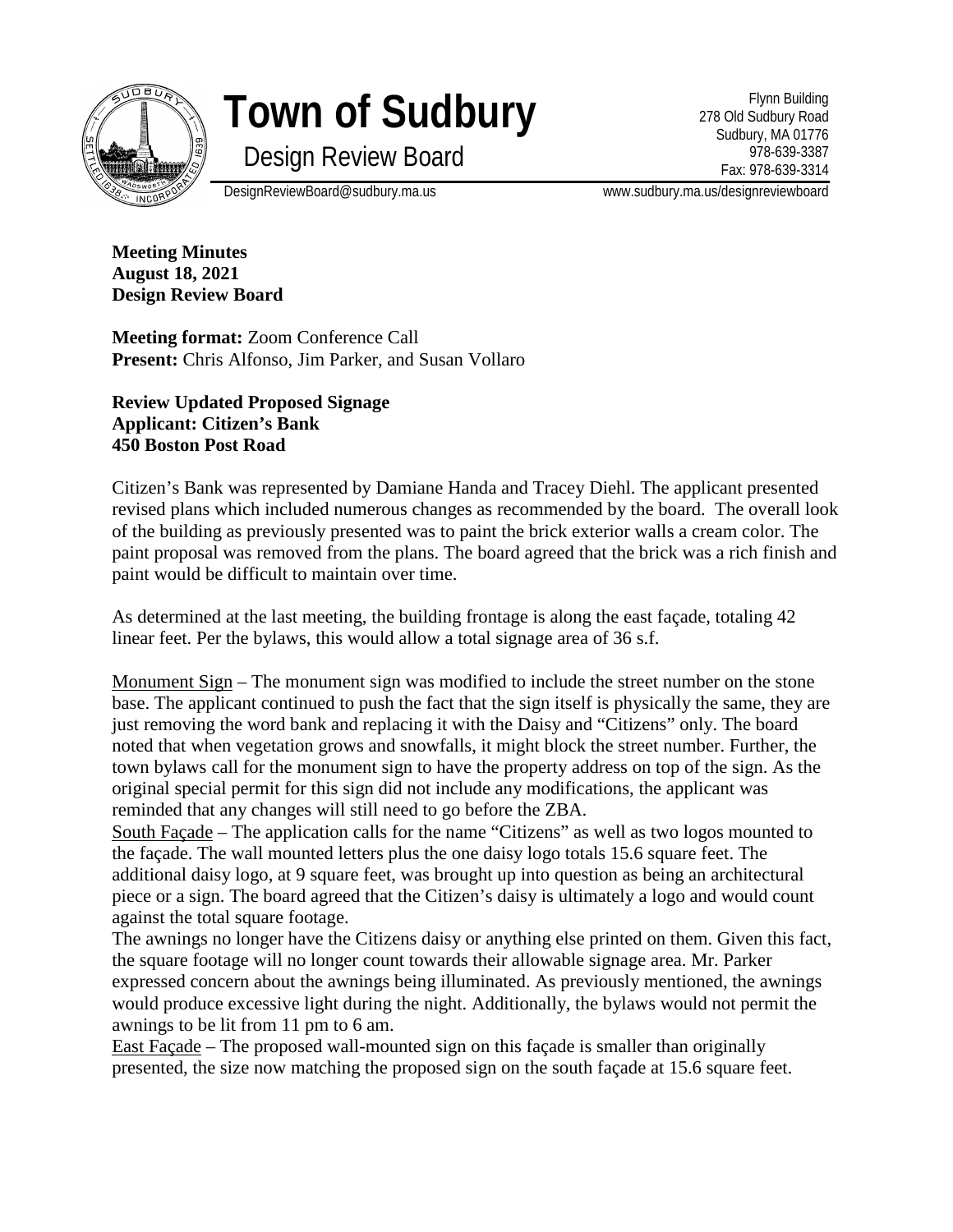

## **Town of Sudbury**

Design Review Board

Flynn Building 278 Old Sudbury Road Sudbury, MA 01776 978-639-3387 Fax: 978-639-3314

DesignReviewBoard@sudbury.ma.us www.sudbury.ma.us/designreviewboard

**Meeting Minutes August 18, 2021 Design Review Board**

**Meeting format:** Zoom Conference Call Present: Chris Alfonso, Jim Parker, and Susan Vollaro

**Review Updated Proposed Signage Applicant: Citizen's Bank 450 Boston Post Road**

Citizen's Bank was represented by Damiane Handa and Tracey Diehl. The applicant presented revised plans which included numerous changes as recommended by the board. The overall look of the building as previously presented was to paint the brick exterior walls a cream color. The paint proposal was removed from the plans. The board agreed that the brick was a rich finish and paint would be difficult to maintain over time.

As determined at the last meeting, the building frontage is along the east façade, totaling 42 linear feet. Per the bylaws, this would allow a total signage area of 36 s.f.

Monument Sign – The monument sign was modified to include the street number on the stone base. The applicant continued to push the fact that the sign itself is physically the same, they are just removing the word bank and replacing it with the Daisy and "Citizens" only. The board noted that when vegetation grows and snowfalls, it might block the street number. Further, the town bylaws call for the monument sign to have the property address on top of the sign. As the original special permit for this sign did not include any modifications, the applicant was reminded that any changes will still need to go before the ZBA.

South Façade – The application calls for the name "Citizens" as well as two logos mounted to the façade. The wall mounted letters plus the one daisy logo totals 15.6 square feet. The additional daisy logo, at 9 square feet, was brought up into question as being an architectural piece or a sign. The board agreed that the Citizen's daisy is ultimately a logo and would count against the total square footage.

The awnings no longer have the Citizens daisy or anything else printed on them. Given this fact, the square footage will no longer count towards their allowable signage area. Mr. Parker expressed concern about the awnings being illuminated. As previously mentioned, the awnings would produce excessive light during the night. Additionally, the bylaws would not permit the awnings to be lit from 11 pm to 6 am.

East Façade – The proposed wall-mounted sign on this façade is smaller than originally presented, the size now matching the proposed sign on the south façade at 15.6 square feet.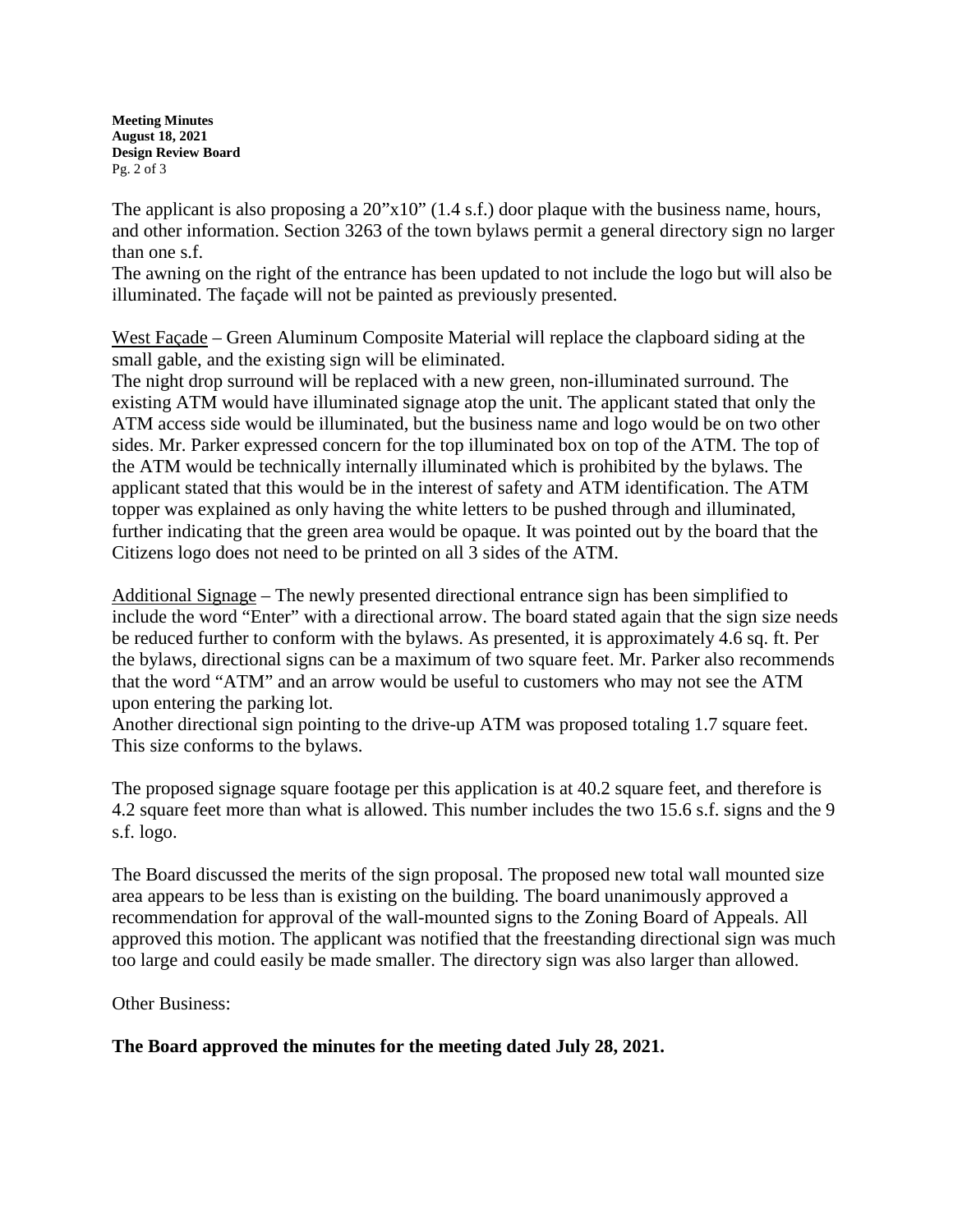**Meeting Minutes August 18, 2021 Design Review Board** Pg. 2 of 3

The applicant is also proposing a 20"x10" (1.4 s.f.) door plaque with the business name, hours, and other information. Section 3263 of the town bylaws permit a general directory sign no larger than one s.f.

The awning on the right of the entrance has been updated to not include the logo but will also be illuminated. The façade will not be painted as previously presented.

West Façade – Green Aluminum Composite Material will replace the clapboard siding at the small gable, and the existing sign will be eliminated.

The night drop surround will be replaced with a new green, non-illuminated surround. The existing ATM would have illuminated signage atop the unit. The applicant stated that only the ATM access side would be illuminated, but the business name and logo would be on two other sides. Mr. Parker expressed concern for the top illuminated box on top of the ATM. The top of the ATM would be technically internally illuminated which is prohibited by the bylaws. The applicant stated that this would be in the interest of safety and ATM identification. The ATM topper was explained as only having the white letters to be pushed through and illuminated, further indicating that the green area would be opaque. It was pointed out by the board that the Citizens logo does not need to be printed on all 3 sides of the ATM.

Additional Signage – The newly presented directional entrance sign has been simplified to include the word "Enter" with a directional arrow. The board stated again that the sign size needs be reduced further to conform with the bylaws. As presented, it is approximately 4.6 sq. ft. Per the bylaws, directional signs can be a maximum of two square feet. Mr. Parker also recommends that the word "ATM" and an arrow would be useful to customers who may not see the ATM upon entering the parking lot.

Another directional sign pointing to the drive-up ATM was proposed totaling 1.7 square feet. This size conforms to the bylaws.

The proposed signage square footage per this application is at 40.2 square feet, and therefore is 4.2 square feet more than what is allowed. This number includes the two 15.6 s.f. signs and the 9 s.f. logo.

The Board discussed the merits of the sign proposal. The proposed new total wall mounted size area appears to be less than is existing on the building. The board unanimously approved a recommendation for approval of the wall-mounted signs to the Zoning Board of Appeals. All approved this motion. The applicant was notified that the freestanding directional sign was much too large and could easily be made smaller. The directory sign was also larger than allowed.

Other Business:

## **The Board approved the minutes for the meeting dated July 28, 2021.**